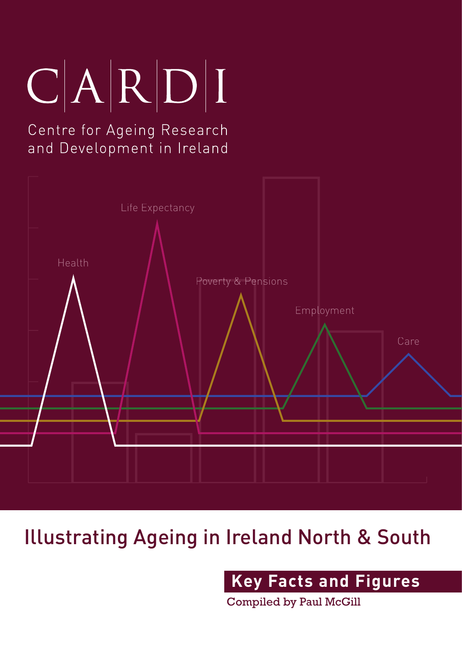## $C|A|R|D|I$

## Centre for Ageing Research and Development in Ireland



## Illustrating Ageing in Ireland North & South

**Key Facts and Figures** 

Compiled by Paul McGill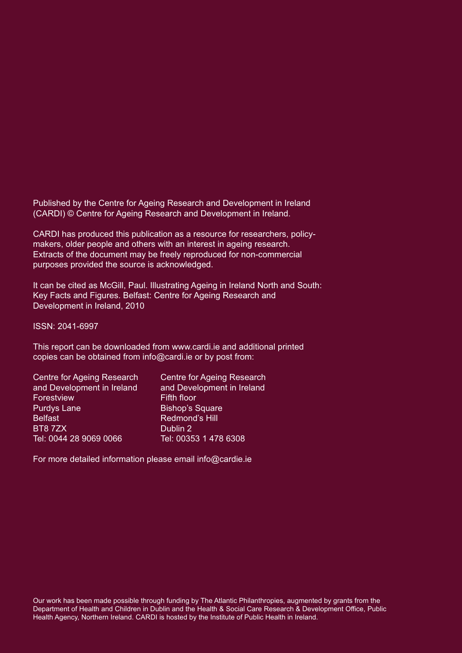Published by the Centre for Ageing Research and Development in Ireland (CARDI) © Centre for Ageing Research and Development in Ireland.

CARDI has produced this publication as a resource for researchers, policymakers, older people and others with an interest in ageing research. Extracts of the document may be freely reproduced for non-commercial purposes provided the source is acknowledged.

It can be cited as McGill, Paul. Illustrating Ageing in Ireland North and South: Key Facts and Figures. Belfast: Centre for Ageing Research and Development in Ireland, 2010

ISSN: 2041-6997

This report can be downloaded from www.cardi.ie and additional printed copies can be obtained from info@cardi.ie or by post from:

| Centre for Ageing Research |
|----------------------------|
| and Development in Ireland |
| <b>Fifth floor</b>         |
| <b>Bishop's Square</b>     |
| Redmond's Hill             |
| Dublin 2                   |
| Tel: 00353 1 478 6308      |
|                            |

For more detailed information please email info@cardie.ie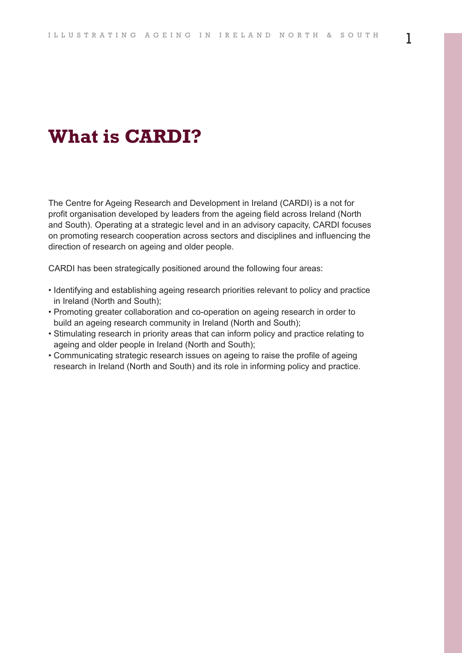## **What is CARDI?**

The Centre for Ageing Research and Development in Ireland (CARDI) is a not for profit organisation developed by leaders from the ageing field across Ireland (North and South). Operating at a strategic level and in an advisory capacity, CARDI focuses on promoting research cooperation across sectors and disciplines and influencing the direction of research on ageing and older people.

CARDI has been strategically positioned around the following four areas:

- Identifying and establishing ageing research priorities relevant to policy and practice in Ireland (North and South);
- Promoting greater collaboration and co-operation on ageing research in order to build an ageing research community in Ireland (North and South);
- Stimulating research in priority areas that can inform policy and practice relating to ageing and older people in Ireland (North and South);
- Communicating strategic research issues on ageing to raise the profile of ageing research in Ireland (North and South) and its role in informing policy and practice.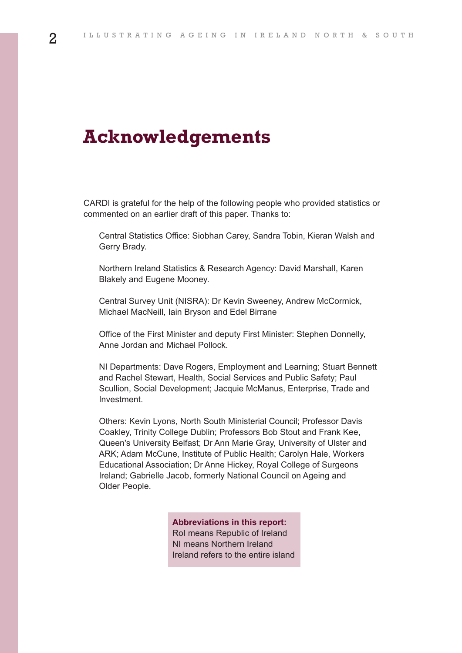## **Acknowledgements**

CARDI is grateful for the help of the following people who provided statistics or commented on an earlier draft of this paper. Thanks to:

Central Statistics Office: Siobhan Carey, Sandra Tobin, Kieran Walsh and Gerry Brady.

Northern Ireland Statistics & Research Agency: David Marshall, Karen Blakely and Eugene Mooney.

Central Survey Unit (NISRA): Dr Kevin Sweeney, Andrew McCormick, Michael MacNeill, Iain Bryson and Edel Birrane

Office of the First Minister and deputy First Minister: Stephen Donnelly, Anne Jordan and Michael Pollock.

NI Departments: Dave Rogers, Employment and Learning; Stuart Bennett and Rachel Stewart, Health, Social Services and Public Safety; Paul Scullion, Social Development; Jacquie McManus, Enterprise, Trade and Investment.

Others: Kevin Lyons, North South Ministerial Council; Professor Davis Coakley, Trinity College Dublin; Professors Bob Stout and Frank Kee, Queen's University Belfast; Dr Ann Marie Gray, University of Ulster and ARK; Adam McCune, Institute of Public Health; Carolyn Hale, Workers Educational Association; Dr Anne Hickey, Royal College of Surgeons Ireland; Gabrielle Jacob, formerly National Council on Ageing and Older People.

> **Abbreviations in this report:** RoI means Republic of Ireland NI means Northern Ireland Ireland refers to the entire island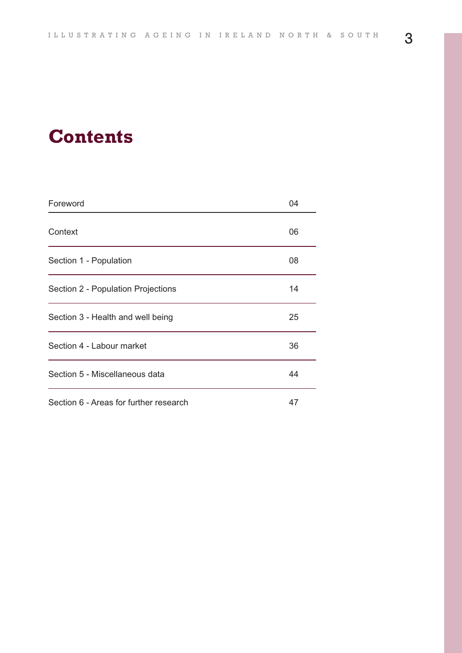## **Contents**

| Foreword                               | 04 |
|----------------------------------------|----|
| Context                                | 06 |
| Section 1 - Population                 | 08 |
| Section 2 - Population Projections     | 14 |
| Section 3 - Health and well being      | 25 |
| Section 4 - Labour market              | 36 |
| Section 5 - Miscellaneous data         | 44 |
| Section 6 - Areas for further research | 47 |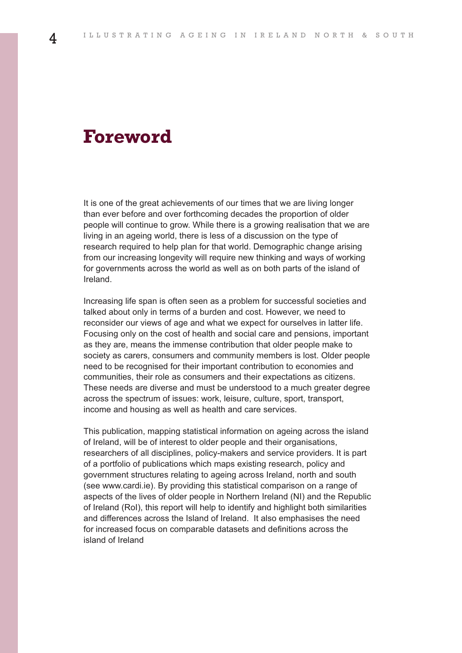## **Foreword**

It is one of the great achievements of our times that we are living longer than ever before and over forthcoming decades the proportion of older people will continue to grow. While there is a growing realisation that we are living in an ageing world, there is less of a discussion on the type of research required to help plan for that world. Demographic change arising from our increasing longevity will require new thinking and ways of working for governments across the world as well as on both parts of the island of Ireland.

Increasing life span is often seen as a problem for successful societies and talked about only in terms of a burden and cost. However, we need to reconsider our views of age and what we expect for ourselves in latter life. Focusing only on the cost of health and social care and pensions, important as they are, means the immense contribution that older people make to society as carers, consumers and community members is lost. Older people need to be recognised for their important contribution to economies and communities, their role as consumers and their expectations as citizens. These needs are diverse and must be understood to a much greater degree across the spectrum of issues: work, leisure, culture, sport, transport, income and housing as well as health and care services.

This publication, mapping statistical information on ageing across the island of Ireland, will be of interest to older people and their organisations, researchers of all disciplines, policy-makers and service providers. It is part of a portfolio of publications which maps existing research, policy and government structures relating to ageing across Ireland, north and south (see www.cardi.ie). By providing this statistical comparison on a range of aspects of the lives of older people in Northern Ireland (NI) and the Republic of Ireland (RoI), this report will help to identify and highlight both similarities and differences across the Island of Ireland. It also emphasises the need for increased focus on comparable datasets and definitions across the island of Ireland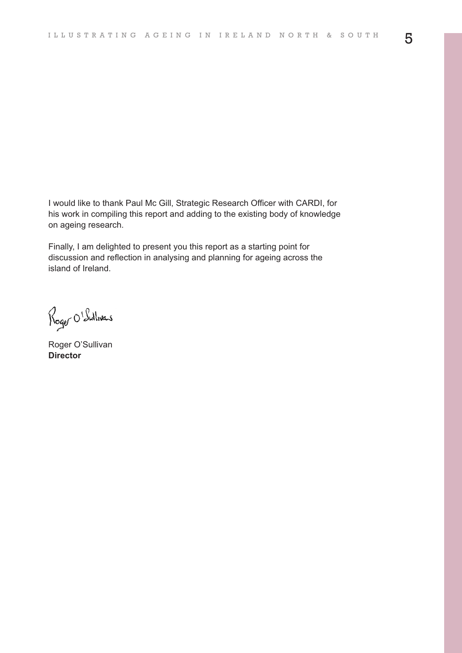I would like to thank Paul Mc Gill, Strategic Research Officer with CARDI, for his work in compiling this report and adding to the existing body of knowledge on ageing research.

Finally, I am delighted to present you this report as a starting point for discussion and reflection in analysing and planning for ageing across the island of Ireland.

Roger O'Sullivers

Roger O'Sullivan **Director**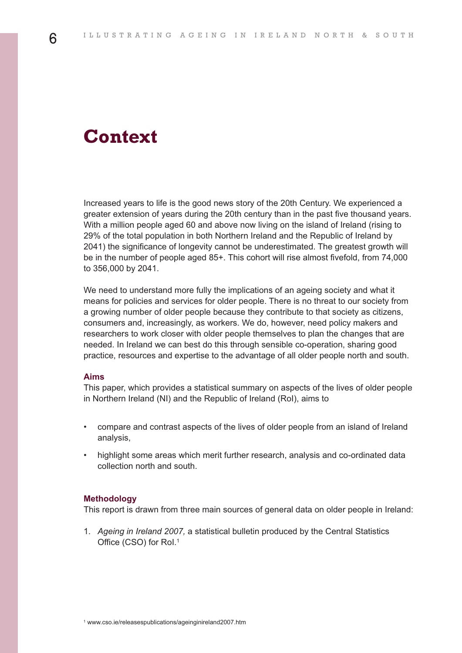## **Context**

Increased years to life is the good news story of the 20th Century. We experienced a greater extension of years during the 20th century than in the past five thousand years. With a million people aged 60 and above now living on the island of Ireland (rising to 29% of the total population in both Northern Ireland and the Republic of Ireland by 2041) the significance of longevity cannot be underestimated. The greatest growth will be in the number of people aged 85+. This cohort will rise almost fivefold, from 74,000 to 356,000 by 2041.

We need to understand more fully the implications of an ageing society and what it means for policies and services for older people. There is no threat to our society from a growing number of older people because they contribute to that society as citizens, consumers and, increasingly, as workers. We do, however, need policy makers and researchers to work closer with older people themselves to plan the changes that are needed. In Ireland we can best do this through sensible co-operation, sharing good practice, resources and expertise to the advantage of all older people north and south.

#### **Aims**

This paper, which provides a statistical summary on aspects of the lives of older people in Northern Ireland (NI) and the Republic of Ireland (RoI), aims to

- compare and contrast aspects of the lives of older people from an island of Ireland analysis,
- highlight some areas which merit further research, analysis and co-ordinated data collection north and south.

#### **Methodology**

This report is drawn from three main sources of general data on older people in Ireland:

1. *Ageing in Ireland 2007,* a statistical bulletin produced by the Central Statistics Office (CSO) for RoI. 1

6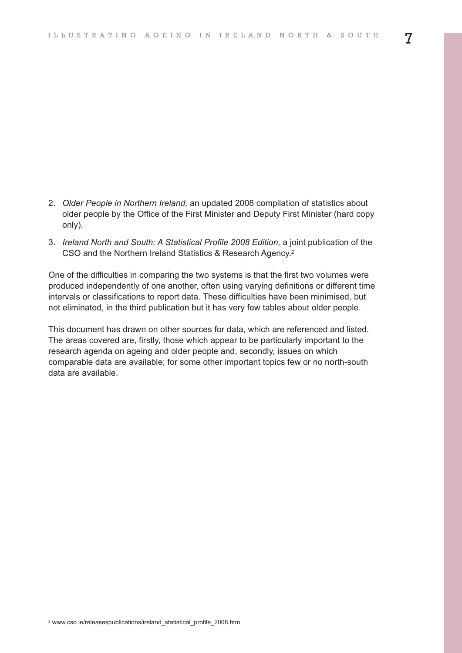- 2. *Older People in Northern Ireland,* an updated 2008 compilation of statistics about older people by the Office of the First Minister and Deputy First Minister (hard copy only).
- 3. *Ireland North and South: A Statistical Profile 2008 Edition,* a joint publication of the CSO and the Northern Ireland Statistics & Research Agency. 2

One of the difficulties in comparing the two systems is that the first two volumes were produced independently of one another, often using varying definitions or different time intervals or classifications to report data. These difficulties have been minimised, but not eliminated, in the third publication but it has very few tables about older people.

This document has drawn on other sources for data, which are referenced and listed. The areas covered are, firstly, those which appear to be particularly important to the research agenda on ageing and older people and, secondly, issues on which comparable data are available; for some other important topics few or no north-south data are available.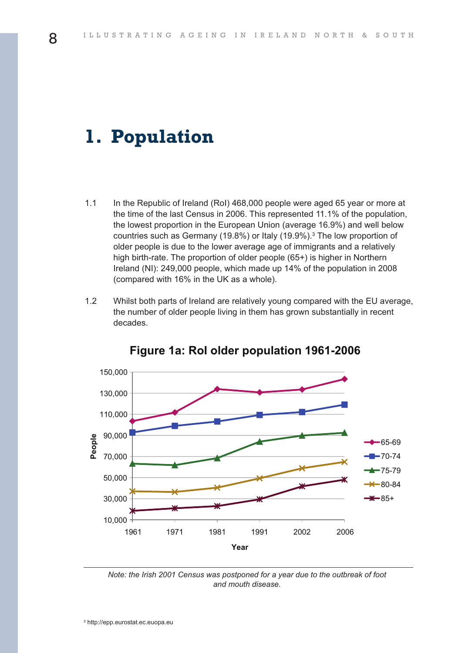## **1. Population**

- 1.1 In the Republic of Ireland (RoI) 468,000 people were aged 65 year or more at the time of the last Census in 2006. This represented 11.1% of the population, the lowest proportion in the European Union (average 16.9%) and well below countries such as Germany (19.8%) or Italy (19.9%). <sup>3</sup> The low proportion of older people is due to the lower average age of immigrants and a relatively high birth-rate. The proportion of older people (65+) is higher in Northern Ireland (NI): 249,000 people, which made up 14% of the population in 2008 (compared with 16% in the UK as a whole).
- 1.2 Whilst both parts of Ireland are relatively young compared with the EU average, the number of older people living in them has grown substantially in recent decades.



#### **F gure 1a Ro o der popu at on 1961-2006**

*Note: the Irish 2001 Census was postponed for a year due to the outbreak of foot and mouth disease.*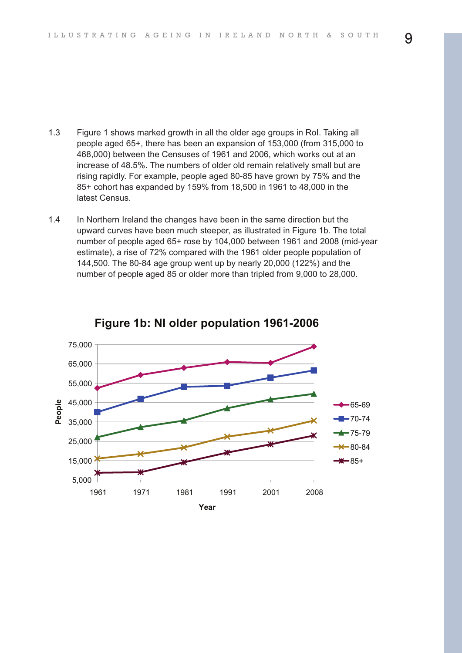- 1.3 Figure 1 shows marked growth in all the older age groups in RoI. Taking all people aged 65+, there has been an expansion of 153,000 (from 315,000 to 468,000) between the Censuses of 1961 and 2006, which works out at an increase of 48.5%. The numbers of older old remain relatively small but are rising rapidly. For example, people aged 80-85 have grown by 75% and the 85+ cohort has expanded by 159% from 18,500 in 1961 to 48,000 in the latest Census.
- 1.4 In Northern Ireland the changes have been in the same direction but the upward curves have been much steeper, as illustrated in Figure 1b. The total number of people aged 65+ rose by 104,000 between 1961 and 2008 (mid-year estimate), a rise of 72% compared with the 1961 older people population of 144,500. The 80-84 age group went up by nearly 20,000 (122%) and the number of people aged 85 or older more than tripled from 9,000 to 28,000.



**F gure 1b N o der popu at on 1961 2006**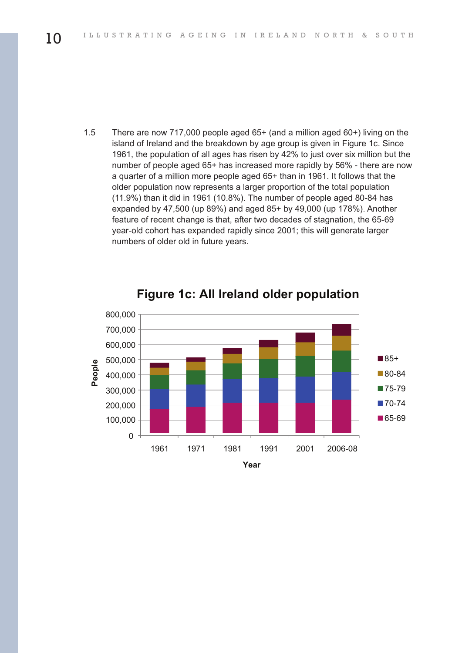1.5 There are now 717,000 people aged 65+ (and a million aged 60+) living on the island of Ireland and the breakdown by age group is given in Figure 1c. Since 1961, the population of all ages has risen by 42% to just over six million but the number of people aged 65+ has increased more rapidly by 56% - there are now a quarter of a million more people aged 65+ than in 1961. It follows that the older population now represents a larger proportion of the total population (11.9%) than it did in 1961 (10.8%). The number of people aged 80-84 has expanded by 47,500 (up 89%) and aged 85+ by 49,000 (up 178%). Another feature of recent change is that, after two decades of stagnation, the 65-69 year-old cohort has expanded rapidly since 2001; this will generate larger numbers of older old in future years.



#### **Figure 1c: All Ireland older population**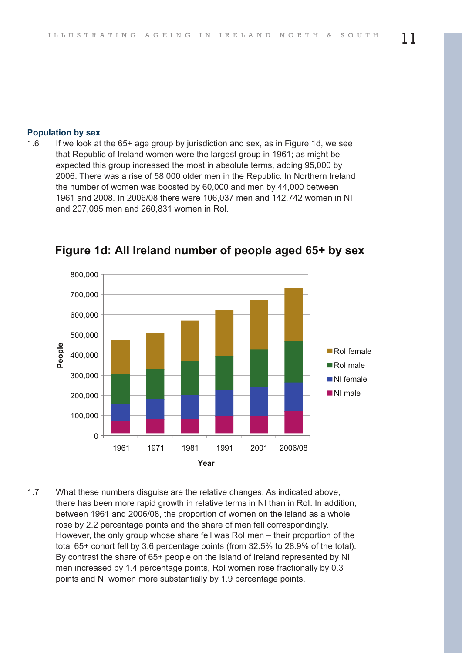#### **Population by sex**

1.6 If we look at the 65+ age group by jurisdiction and sex, as in Figure 1d, we see that Republic of Ireland women were the largest group in 1961; as might be expected this group increased the most in absolute terms, adding 95,000 by 2006. There was a rise of 58,000 older men in the Republic. In Northern Ireland the number of women was boosted by 60,000 and men by 44,000 between 1961 and 2008. In 2006/08 there were 106,037 men and 142,742 women in NI and 207,095 men and 260,831 women in RoI.



**F gure 1d A re and number of peop e aged 65+ by sex**

1.7 What these numbers disguise are the relative changes. As indicated above, there has been more rapid growth in relative terms in NI than in RoI. In addition, between 1961 and 2006/08, the proportion of women on the island as a whole rose by 2.2 percentage points and the share of men fell correspondingly. However, the only group whose share fell was RoI men – their proportion of the total 65+ cohort fell by 3.6 percentage points (from 32.5% to 28.9% of the total). By contrast the share of 65+ people on the island of Ireland represented by NI men increased by 1.4 percentage points, RoI women rose fractionally by 0.3 points and NI women more substantially by 1.9 percentage points.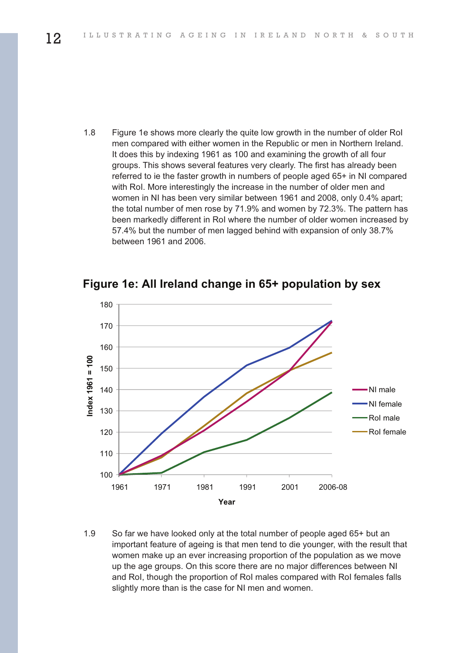1.8 Figure 1e shows more clearly the quite low growth in the number of older RoI men compared with either women in the Republic or men in Northern Ireland. It does this by indexing 1961 as 100 and examining the growth of all four groups. This shows several features very clearly. The first has already been referred to ie the faster growth in numbers of people aged 65+ in NI compared with RoI. More interestingly the increase in the number of older men and women in NI has been very similar between 1961 and 2008, only 0.4% apart; the total number of men rose by 71.9% and women by 72.3%. The pattern has been markedly different in RoI where the number of older women increased by 57.4% but the number of men lagged behind with expansion of only 38.7% between 1961 and 2006.



**Figure 1e: All Ireland change in 65+ population by sex** 

1.9 So far we have looked only at the total number of people aged 65+ but an important feature of ageing is that men tend to die younger, with the result that women make up an ever increasing proportion of the population as we move up the age groups. On this score there are no major differences between NI and RoI, though the proportion of RoI males compared with RoI females falls slightly more than is the case for NI men and women.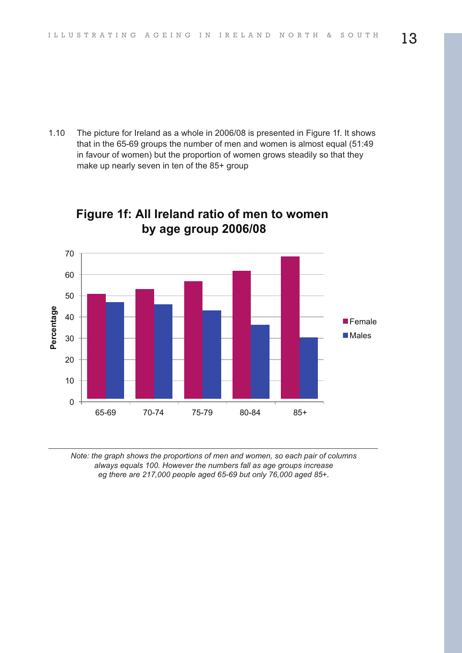1.10 The picture for Ireland as a whole in 2006/08 is presented in Figure 1f. It shows that in the 65-69 groups the number of men and women is almost equal (51:49 in favour of women) but the proportion of women grows steadily so that they make up nearly seven in ten of the 85+ group



### **F gure 1f A re and rat o of men to women by age group 2006/08**

*Note: the graph shows the proportions of men and women, so each pair of columns always equals 100. However the numbers fall as age groups increase eg there are 217,000 people aged 65-69 but only 76,000 aged 85+.*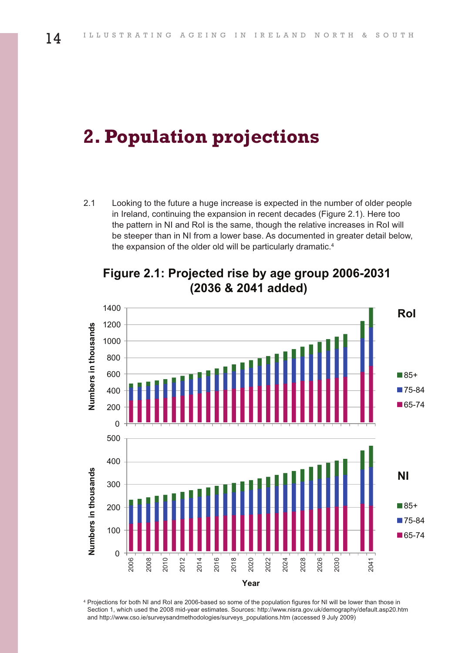## **2. Population projections**

2.1 Looking to the future a huge increase is expected in the number of older people in Ireland, continuing the expansion in recent decades (Figure 2.1). Here too the pattern in NI and RoI is the same, though the relative increases in RoI will be steeper than in NI from a lower base. As documented in greater detail below, the expansion of the older old will be particularly dramatic. 4



**F gure 2 1 Pro ected r se by age group 2006 2031 & 2041 added**

 Projections for both NI and RoI are 2006-based so some of the population figures for NI will be lower than those in Section 1, which used the 2008 mid-year estimates. Sources: http://www.nisra.gov.uk/demography/default.asp20.htm and http://www.cso.ie/surveysandmethodologies/surveys\_populations.htm (accessed 9 July 2009)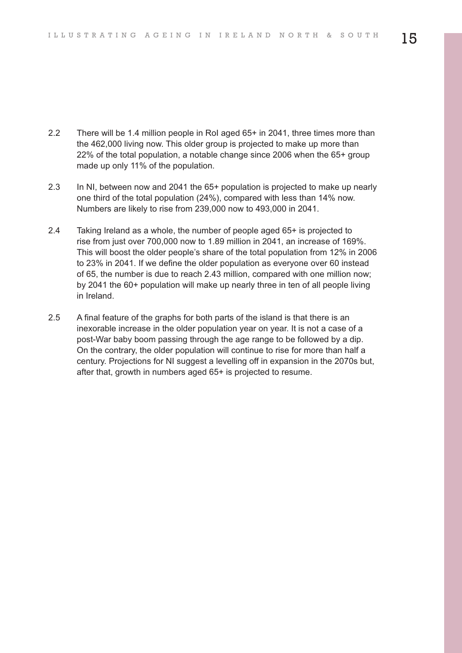- 2.2 There will be 1.4 million people in RoI aged 65+ in 2041, three times more than the 462,000 living now. This older group is projected to make up more than 22% of the total population, a notable change since 2006 when the 65+ group made up only 11% of the population.
- 2.3 In NI, between now and 2041 the 65+ population is projected to make up nearly one third of the total population (24%), compared with less than 14% now. Numbers are likely to rise from 239,000 now to 493,000 in 2041.
- 2.4 Taking Ireland as a whole, the number of people aged 65+ is projected to rise from just over 700,000 now to 1.89 million in 2041, an increase of 169%. This will boost the older people's share of the total population from 12% in 2006 to 23% in 2041. If we define the older population as everyone over 60 instead of 65, the number is due to reach 2.43 million, compared with one million now; by 2041 the 60+ population will make up nearly three in ten of all people living in Ireland.
- 2.5 A final feature of the graphs for both parts of the island is that there is an inexorable increase in the older population year on year. It is not a case of a post-War baby boom passing through the age range to be followed by a dip. On the contrary, the older population will continue to rise for more than half a century. Projections for NI suggest a levelling off in expansion in the 2070s but, after that, growth in numbers aged 65+ is projected to resume.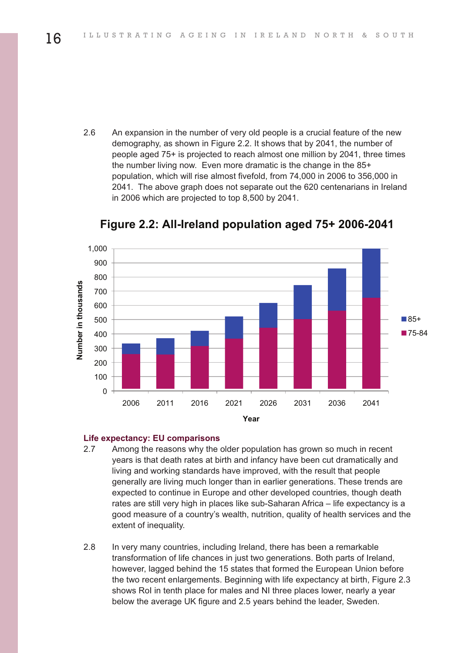2.6 An expansion in the number of very old people is a crucial feature of the new demography, as shown in Figure 2.2. It shows that by 2041, the number of people aged 75+ is projected to reach almost one million by 2041, three times the number living now. Even more dramatic is the change in the 85+ population, which will rise almost fivefold, from 74,000 in 2006 to 356,000 in 2041. The above graph does not separate out the 620 centenarians in Ireland in 2006 which are projected to top 8,500 by 2041.



**F gure 2 2 A re and popu at on aged 75+ 2006 2041**

#### **Life expectancy: EU comparisons**

- 2.7 Among the reasons why the older population has grown so much in recent years is that death rates at birth and infancy have been cut dramatically and living and working standards have improved, with the result that people generally are living much longer than in earlier generations. These trends are expected to continue in Europe and other developed countries, though death rates are still very high in places like sub-Saharan Africa – life expectancy is a good measure of a country's wealth, nutrition, quality of health services and the extent of inequality.
- 2.8 In very many countries, including Ireland, there has been a remarkable transformation of life chances in just two generations. Both parts of Ireland, however, lagged behind the 15 states that formed the European Union before the two recent enlargements. Beginning with life expectancy at birth, Figure 2.3 shows RoI in tenth place for males and NI three places lower, nearly a year below the average UK figure and 2.5 years behind the leader, Sweden.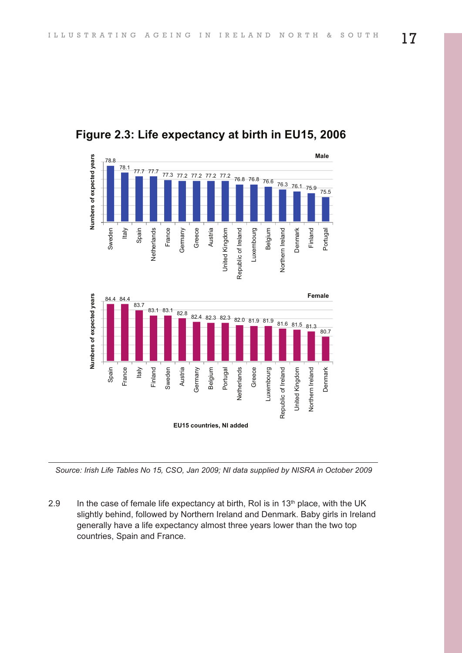





*Source: Irish Life Tables No 15, CSO, Jan 2009; NI data supplied by NISRA in October 2009*

2.9 In the case of female life expectancy at birth, RoI is in  $13<sup>th</sup>$  place, with the UK slightly behind, followed by Northern Ireland and Denmark. Baby girls in Ireland generally have a life expectancy almost three years lower than the two top countries, Spain and France.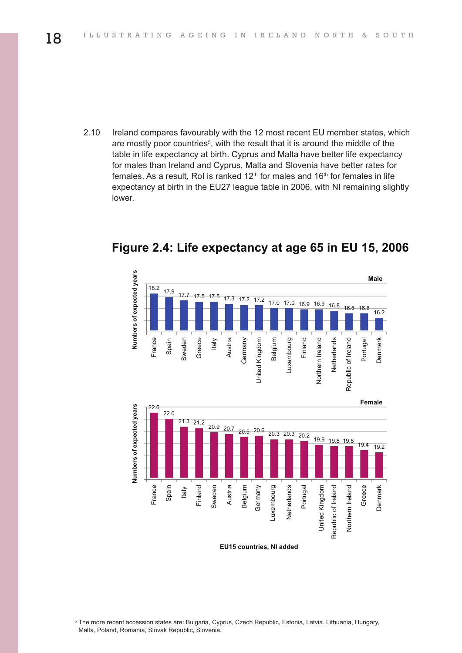2.10 Ireland compares favourably with the 12 most recent EU member states, which are mostly poor countries<sup>5</sup>, with the result that it is around the middle of the table in life expectancy at birth. Cyprus and Malta have better life expectancy for males than Ireland and Cyprus, Malta and Slovenia have better rates for females. As a result, RoI is ranked  $12<sup>th</sup>$  for males and  $16<sup>th</sup>$  for females in life expectancy at birth in the EU27 league table in 2006, with NI remaining slightly lower.



**F gure 2 4 L fe expectancy at age 65 n EU 15 2006**

**EU15** countries. NI added

<sup>5</sup> The more recent accession states are: Bulgaria, Cyprus, Czech Republic, Estonia, Latvia. Lithuania, Hungary, Malta, Poland, Romania, Slovak Republic, Slovenia.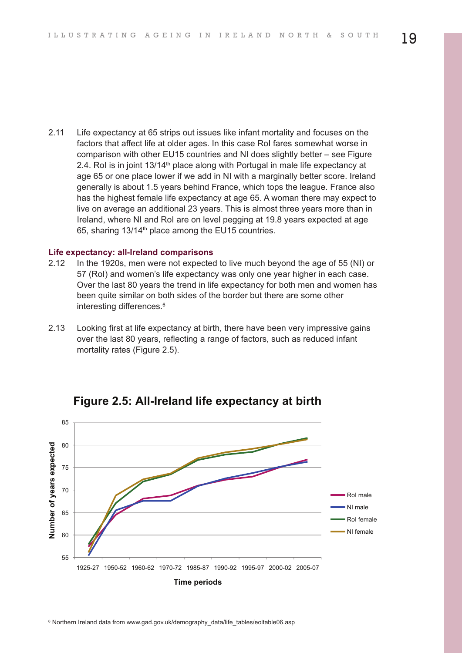2.11 Life expectancy at 65 strips out issues like infant mortality and focuses on the factors that affect life at older ages. In this case RoI fares somewhat worse in comparison with other EU15 countries and NI does slightly better – see Figure 2.4. RoI is in joint  $13/14<sup>th</sup>$  place along with Portugal in male life expectancy at age 65 or one place lower if we add in NI with a marginally better score. Ireland generally is about 1.5 years behind France, which tops the league. France also has the highest female life expectancy at age 65. A woman there may expect to live on average an additional 23 years. This is almost three years more than in Ireland, where NI and RoI are on level pegging at 19.8 years expected at age 65, sharing  $13/14<sup>th</sup>$  place among the EU15 countries.

#### **Life expectancy: all-Ireland comparisons**

- 2.12 In the 1920s, men were not expected to live much beyond the age of 55 (NI) or 57 (RoI) and women's life expectancy was only one year higher in each case. Over the last 80 years the trend in life expectancy for both men and women has been quite similar on both sides of the border but there are some other interesting differences. 6
- 2.13 Looking first at life expectancy at birth, there have been very impressive gains over the last 80 years, reflecting a range of factors, such as reduced infant mortality rates (Figure 2.5).



**F gure 2 5 A re and fe expectancy at b rth**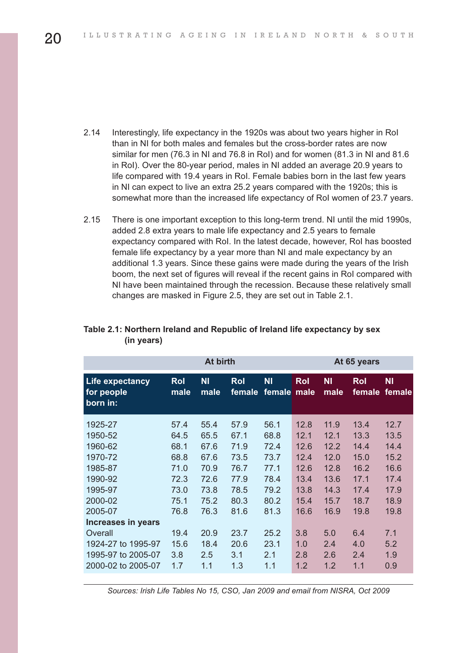- 2.14 Interestingly, life expectancy in the 1920s was about two years higher in RoI than in NI for both males and females but the cross-border rates are now similar for men (76.3 in NI and 76.8 in RoI) and for women (81.3 in NI and 81.6 in RoI). Over the 80-year period, males in NI added an average 20.9 years to life compared with 19.4 years in RoI. Female babies born in the last few years in NI can expect to live an extra 25.2 years compared with the 1920s; this is somewhat more than the increased life expectancy of RoI women of 23.7 years.
- 2.15 There is one important exception to this long-term trend. NI until the mid 1990s, added 2.8 extra years to male life expectancy and 2.5 years to female expectancy compared with RoI. In the latest decade, however, RoI has boosted female life expectancy by a year more than NI and male expectancy by an additional 1.3 years. Since these gains were made during the years of the Irish boom, the next set of figures will reveal if the recent gains in RoI compared with NI have been maintained through the recession. Because these relatively small changes are masked in Figure 2.5, they are set out in Table 2.1.

|                                                                                                                                                               | At birth                                                                             |                                                                                      |                                                                                      |                                                                                      | At 65 years                                                                        |                                                                                    |                                                                                    |                                                                                    |
|---------------------------------------------------------------------------------------------------------------------------------------------------------------|--------------------------------------------------------------------------------------|--------------------------------------------------------------------------------------|--------------------------------------------------------------------------------------|--------------------------------------------------------------------------------------|------------------------------------------------------------------------------------|------------------------------------------------------------------------------------|------------------------------------------------------------------------------------|------------------------------------------------------------------------------------|
| <b>Life expectancy</b><br>for people<br>born in:                                                                                                              | <b>Rol</b><br>male                                                                   | <b>NI</b><br>male                                                                    | <b>Rol</b><br>female                                                                 | <b>NI</b><br>female                                                                  | <b>Rol</b><br>male                                                                 | <b>NI</b><br>male                                                                  | Rol<br>female                                                                      | <b>NI</b><br>female                                                                |
| 1925-27<br>1950-52<br>1960-62<br>1970-72<br>1985-87<br>1990-92<br>1995-97<br>2000-02<br>2005-07<br><b>Increases in years</b><br>Overall<br>1924-27 to 1995-97 | 57.4<br>64.5<br>68.1<br>68.8<br>71.0<br>72.3<br>73.0<br>75.1<br>76.8<br>19.4<br>15.6 | 55.4<br>65.5<br>67.6<br>67.6<br>70.9<br>72.6<br>73.8<br>75.2<br>76.3<br>20.9<br>18.4 | 57.9<br>67.1<br>71.9<br>73.5<br>76.7<br>77.9<br>78.5<br>80.3<br>81.6<br>23.7<br>20.6 | 56.1<br>68.8<br>72.4<br>73.7<br>77.1<br>78.4<br>79.2<br>80.2<br>81.3<br>25.2<br>23.1 | 12.8<br>12.1<br>12.6<br>12.4<br>12.6<br>13.4<br>13.8<br>15.4<br>16.6<br>3.8<br>1.0 | 11.9<br>12.1<br>12.2<br>12.0<br>12.8<br>13.6<br>14.3<br>15.7<br>16.9<br>5.0<br>2.4 | 13.4<br>13.3<br>14.4<br>15.0<br>16.2<br>17.1<br>17.4<br>18.7<br>19.8<br>6.4<br>4.0 | 12.7<br>13.5<br>14.4<br>15.2<br>16.6<br>17.4<br>17.9<br>18.9<br>19.8<br>7.1<br>5.2 |
| 1995-97 to 2005-07<br>2000-02 to 2005-07                                                                                                                      | 3.8<br>1.7                                                                           | 2.5<br>1.1                                                                           | 3.1<br>1.3                                                                           | 2.1<br>1.1                                                                           | 2.8<br>1.2                                                                         | 2.6<br>1.2                                                                         | 2.4<br>1.1                                                                         | 1.9<br>0.9                                                                         |

#### **Table 2.1: Northern Ireland and Republic of Ireland life expectancy by sex (in years)**

*Sources: Irish Life Tables No 15, CSO, Jan 2009 and email from NISRA, Oct 2009*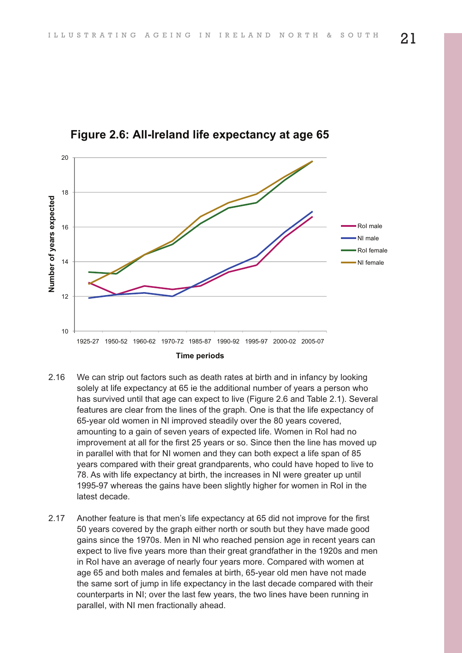

**F gure 2 6 A re and fe expectancy at age 65**

- 2.16 We can strip out factors such as death rates at birth and in infancy by looking solely at life expectancy at 65 ie the additional number of years a person who has survived until that age can expect to live (Figure 2.6 and Table 2.1). Several features are clear from the lines of the graph. One is that the life expectancy of 65-year old women in NI improved steadily over the 80 years covered, amounting to a gain of seven years of expected life. Women in RoI had no improvement at all for the first 25 years or so. Since then the line has moved up in parallel with that for NI women and they can both expect a life span of 85 years compared with their great grandparents, who could have hoped to live to 78. As with life expectancy at birth, the increases in NI were greater up until 1995-97 whereas the gains have been slightly higher for women in RoI in the latest decade.
- 2.17 Another feature is that men's life expectancy at 65 did not improve for the first 50 years covered by the graph either north or south but they have made good gains since the 1970s. Men in NI who reached pension age in recent years can expect to live five years more than their great grandfather in the 1920s and men in RoI have an average of nearly four years more. Compared with women at age 65 and both males and females at birth, 65-year old men have not made the same sort of jump in life expectancy in the last decade compared with their counterparts in NI; over the last few years, the two lines have been running in parallel, with NI men fractionally ahead.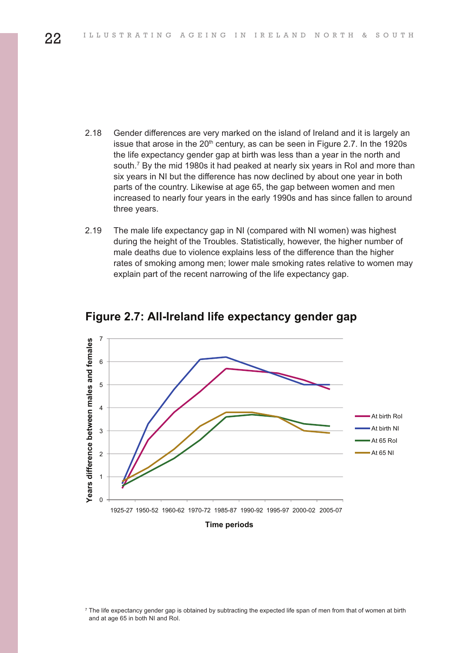- 2.18 Gender differences are very marked on the island of Ireland and it is largely an issue that arose in the  $20<sup>th</sup>$  century, as can be seen in Figure 2.7. In the 1920s the life expectancy gender gap at birth was less than a year in the north and south. <sup>7</sup> By the mid 1980s it had peaked at nearly six years in RoI and more than six years in NI but the difference has now declined by about one year in both parts of the country. Likewise at age 65, the gap between women and men increased to nearly four years in the early 1990s and has since fallen to around three years.
- 2.19 The male life expectancy gap in NI (compared with NI women) was highest during the height of the Troubles. Statistically, however, the higher number of male deaths due to violence explains less of the difference than the higher rates of smoking among men; lower male smoking rates relative to women may explain part of the recent narrowing of the life expectancy gap.



#### **F gure 2 7 A re and fe expectancy gender gap**

<sup>&</sup>lt;sup>7</sup> The life expectancy gender gap is obtained by subtracting the expected life span of men from that of women at birth and at age 65 in both NI and RoI.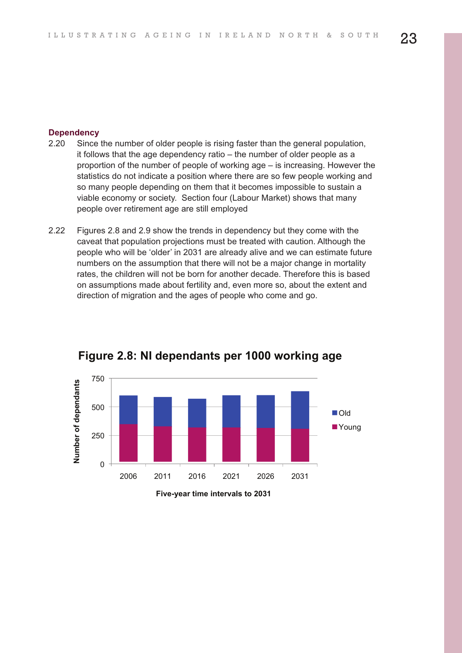#### **Dependency**

- 2.20 Since the number of older people is rising faster than the general population, it follows that the age dependency ratio – the number of older people as a proportion of the number of people of working age – is increasing. However the statistics do not indicate a position where there are so few people working and so many people depending on them that it becomes impossible to sustain a viable economy or society. Section four (Labour Market) shows that many people over retirement age are still employed
- 2.22 Figures 2.8 and 2.9 show the trends in dependency but they come with the caveat that population projections must be treated with caution. Although the people who will be 'older' in 2031 are already alive and we can estimate future numbers on the assumption that there will not be a major change in mortality rates, the children will not be born for another decade. Therefore this is based on assumptions made about fertility and, even more so, about the extent and direction of migration and the ages of people who come and go.



#### **F gure 2 8 N dependants per 1000 work ng age**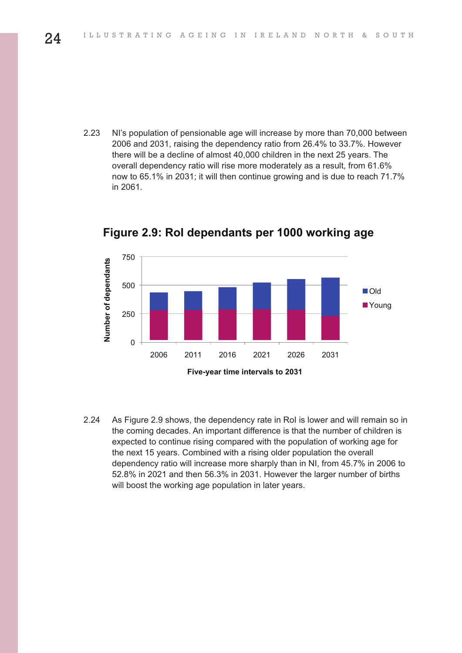2.23 NI's population of pensionable age will increase by more than 70,000 between 2006 and 2031, raising the dependency ratio from 26.4% to 33.7%. However there will be a decline of almost 40,000 children in the next 25 years. The overall dependency ratio will rise more moderately as a result, from 61.6% now to 65.1% in 2031; it will then continue growing and is due to reach 71.7% in 2061.



2.24 As Figure 2.9 shows, the dependency rate in RoI is lower and will remain so in the coming decades. An important difference is that the number of children is expected to continue rising compared with the population of working age for the next 15 years. Combined with a rising older population the overall dependency ratio will increase more sharply than in NI, from 45.7% in 2006 to 52.8% in 2021 and then 56.3% in 2031. However the larger number of births will boost the working age population in later years.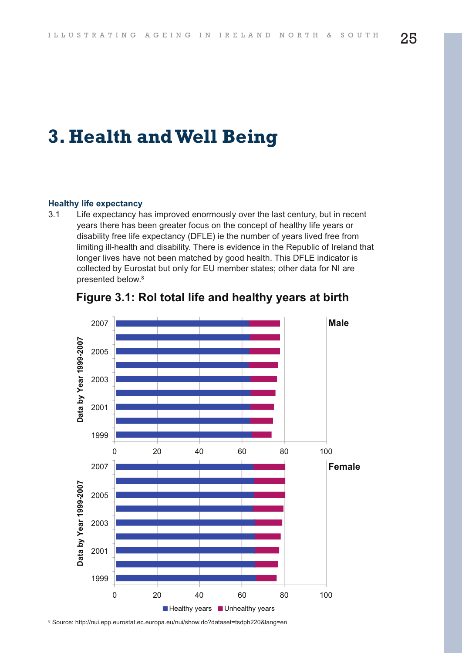## **3. Health andWell Being**

#### **Healthy life expectancy**

3.1 Life expectancy has improved enormously over the last century, but in recent years there has been greater focus on the concept of healthy life years or disability free life expectancy (DFLE) ie the number of years lived free from limiting ill-health and disability. There is evidence in the Republic of Ireland that longer lives have not been matched by good health. This DFLE indicator is collected by Eurostat but only for EU member states; other data for NI are presented below. 8



<sup>8</sup> Source: http://nui.epp.eurostat.ec.europa.eu/nui/show.do?dataset=tsdph220&lang=en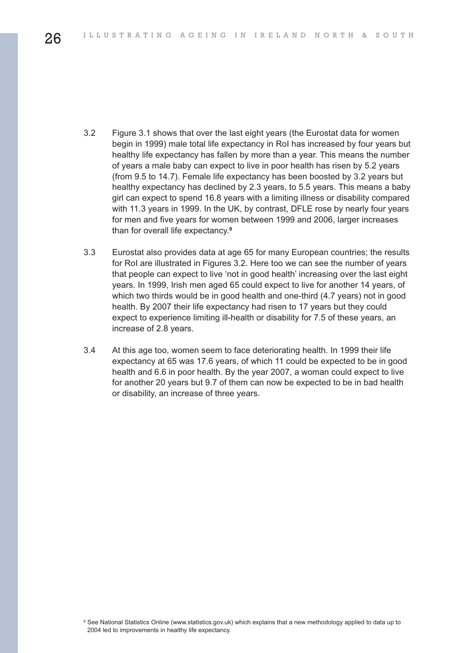- 3.2 Figure 3.1 shows that over the last eight years (the Eurostat data for women begin in 1999) male total life expectancy in RoI has increased by four years but healthy life expectancy has fallen by more than a year. This means the number of years a male baby can expect to live in poor health has risen by 5.2 years (from 9.5 to 14.7). Female life expectancy has been boosted by 3.2 years but healthy expectancy has declined by 2.3 years, to 5.5 years. This means a baby girl can expect to spend 16.8 years with a limiting illness or disability compared with 11.3 years in 1999. In the UK, by contrast, DFLE rose by nearly four years for men and five years for women between 1999 and 2006, larger increases than for overall life expectancy. **9**
- 3.3 Eurostat also provides data at age 65 for many European countries; the results for RoI are illustrated in Figures 3.2. Here too we can see the number of years that people can expect to live 'not in good health' increasing over the last eight years. In 1999, Irish men aged 65 could expect to live for another 14 years, of which two thirds would be in good health and one-third (4.7 years) not in good health. By 2007 their life expectancy had risen to 17 years but they could expect to experience limiting ill-health or disability for 7.5 of these years, an increase of 2.8 years.
- 3.4 At this age too, women seem to face deteriorating health. In 1999 their life expectancy at 65 was 17.6 years, of which 11 could be expected to be in good health and 6.6 in poor health. By the year 2007, a woman could expect to live for another 20 years but 9.7 of them can now be expected to be in bad health or disability, an increase of three years.

<sup>9</sup> See National Statistics Online (www.statistics.gov.uk) which explains that a new methodology applied to data up to 2004 led to improvements in healthy life expectancy.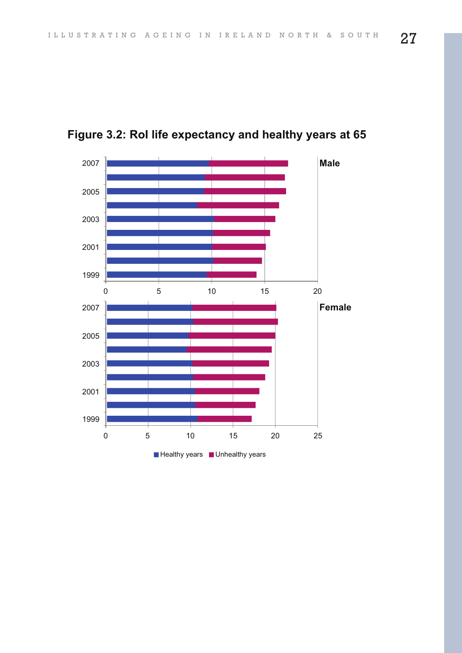

**F gure 3 2 Ro fe expectancy and hea thy years at 65**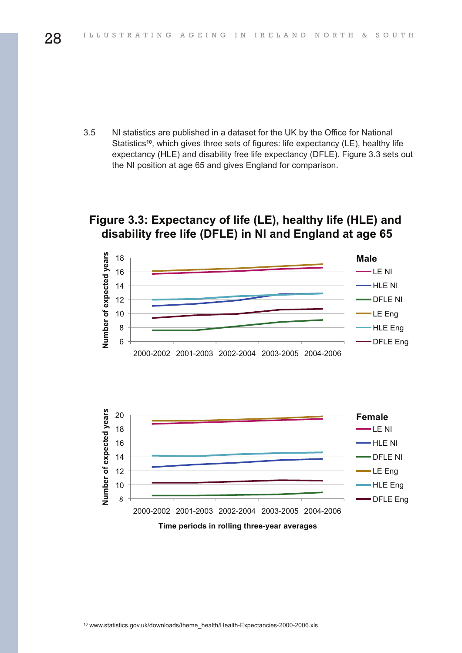3.5 NI statistics are published in a dataset for the UK by the Office for National Statistics**<sup>10</sup>**, which gives three sets of figures: life expectancy (LE), healthy life expectancy (HLE) and disability free life expectancy (DFLE). Figure 3.3 sets out the NI position at age 65 and gives England for comparison.

#### **F gure 3 3 Expectancy of fe LE hea thy fe HLE and d sab ty free fe DFLE n N and Eng and at age 65**



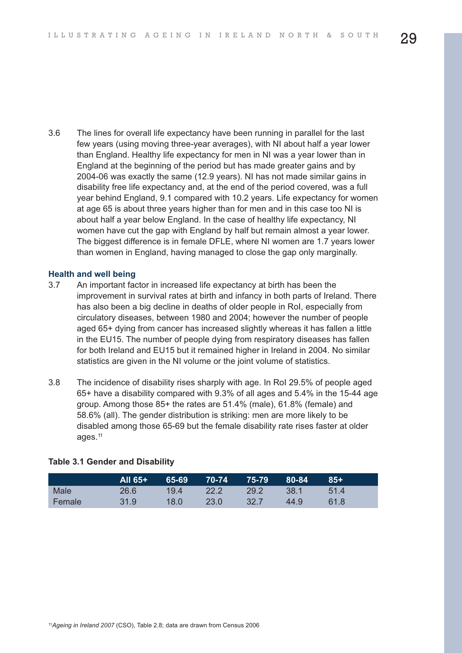3.6 The lines for overall life expectancy have been running in parallel for the last few years (using moving three-year averages), with NI about half a year lower than England. Healthy life expectancy for men in NI was a year lower than in England at the beginning of the period but has made greater gains and by 2004-06 was exactly the same (12.9 years). NI has not made similar gains in disability free life expectancy and, at the end of the period covered, was a full year behind England, 9.1 compared with 10.2 years. Life expectancy for women at age 65 is about three years higher than for men and in this case too NI is about half a year below England. In the case of healthy life expectancy, NI women have cut the gap with England by half but remain almost a year lower. The biggest difference is in female DFLE, where NI women are 1.7 years lower than women in England, having managed to close the gap only marginally.

#### **Health and well being**

- 3.7 An important factor in increased life expectancy at birth has been the improvement in survival rates at birth and infancy in both parts of Ireland. There has also been a big decline in deaths of older people in RoI, especially from circulatory diseases, between 1980 and 2004; however the number of people aged 65+ dying from cancer has increased slightly whereas it has fallen a little in the EU15. The number of people dying from respiratory diseases has fallen for both Ireland and EU15 but it remained higher in Ireland in 2004. No similar statistics are given in the NI volume or the joint volume of statistics.
- 3.8 The incidence of disability rises sharply with age. In RoI 29.5% of people aged 65+ have a disability compared with 9.3% of all ages and 5.4% in the 15-44 age group. Among those 85+ the rates are 51.4% (male), 61.8% (female) and 58.6% (all). The gender distribution is striking: men are more likely to be disabled among those 65-69 but the female disability rate rises faster at older ages. 11

|        | 'All 65+7 | 65-69 | 70-74'         | 75-79          | 80-84  | $85+$ |
|--------|-----------|-------|----------------|----------------|--------|-------|
| Male   | 26.6      | 194   | $22.2^{\circ}$ | $29.2^{\circ}$ | - 38.1 | 514   |
| Female | 31.9      | 18.0  | 23.0           | 32.7           | 44.9   | 61 8  |

#### **Table 3.1 Gender and Disability**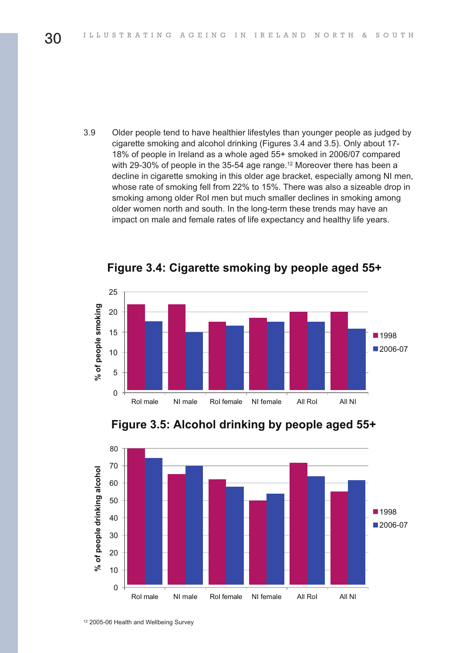3.9 Older people tend to have healthier lifestyles than younger people as judged by cigarette smoking and alcohol drinking (Figures 3.4 and 3.5). Only about 17- 18% of people in Ireland as a whole aged 55+ smoked in 2006/07 compared with 29-30% of people in the 35-54 age range. <sup>12</sup> Moreover there has been a decline in cigarette smoking in this older age bracket, especially among NI men, whose rate of smoking fell from 22% to 15%. There was also a sizeable drop in smoking among older RoI men but much smaller declines in smoking among older women north and south. In the long-term these trends may have an impact on male and female rates of life expectancy and healthy life years.



**F gure 3 4 C garette smok ng by peop e aged 55+**







<sup>12</sup> 2005-06 Health and Wellbeing Survey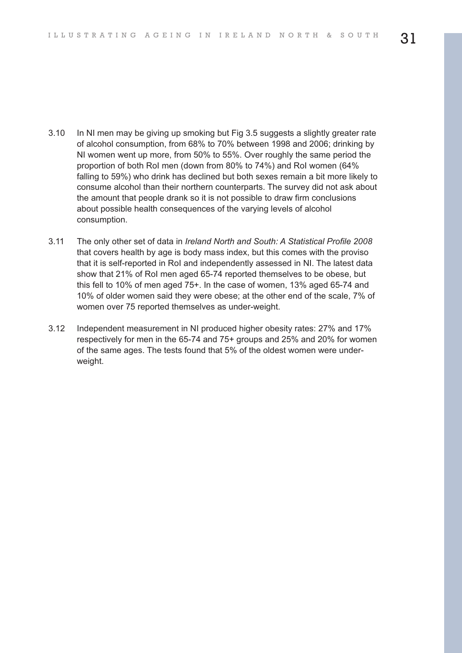- 3.10 In NI men may be giving up smoking but Fig 3.5 suggests a slightly greater rate of alcohol consumption, from 68% to 70% between 1998 and 2006; drinking by NI women went up more, from 50% to 55%. Over roughly the same period the proportion of both RoI men (down from 80% to 74%) and RoI women (64% falling to 59%) who drink has declined but both sexes remain a bit more likely to consume alcohol than their northern counterparts. The survey did not ask about the amount that people drank so it is not possible to draw firm conclusions about possible health consequences of the varying levels of alcohol consumption.
- 3.11 The only other set of data in *Ireland North and South: A Statistical Profile 2008* that covers health by age is body mass index, but this comes with the proviso that it is self-reported in RoI and independently assessed in NI. The latest data show that 21% of RoI men aged 65-74 reported themselves to be obese, but this fell to 10% of men aged 75+. In the case of women, 13% aged 65-74 and 10% of older women said they were obese; at the other end of the scale, 7% of women over 75 reported themselves as under-weight.
- 3.12 Independent measurement in NI produced higher obesity rates: 27% and 17% respectively for men in the 65-74 and 75+ groups and 25% and 20% for women of the same ages. The tests found that 5% of the oldest women were underweight.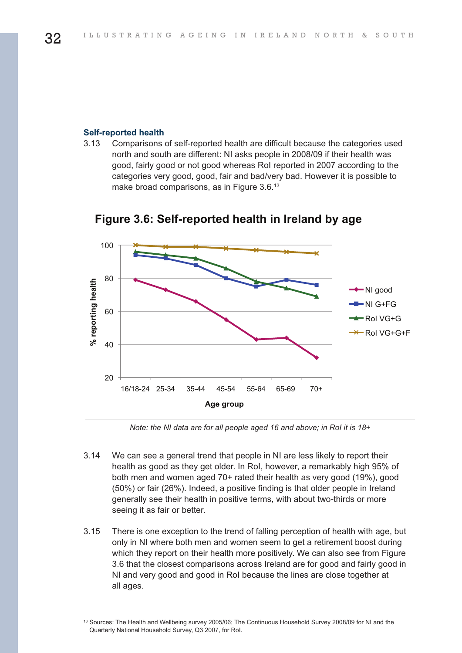#### **Self-reported health**

3.13 Comparisons of self-reported health are difficult because the categories used north and south are different: NI asks people in 2008/09 if their health was good, fairly good or not good whereas RoI reported in 2007 according to the categories very good, good, fair and bad/very bad. However it is possible to make broad comparisons, as in Figure 3.6.<sup>13</sup>



**F gure 3 6 Se f reported hea th n re and by age**

*Note: the NI data are for all people aged 16 and above; in RoI it is 18+*

- 3.14 We can see a general trend that people in NI are less likely to report their health as good as they get older. In RoI, however, a remarkably high 95% of both men and women aged 70+ rated their health as very good (19%), good (50%) or fair (26%). Indeed, a positive finding is that older people in Ireland generally see their health in positive terms, with about two-thirds or more seeing it as fair or better.
- 3.15 There is one exception to the trend of falling perception of health with age, but only in NI where both men and women seem to get a retirement boost during which they report on their health more positively. We can also see from Figure 3.6 that the closest comparisons across Ireland are for good and fairly good in NI and very good and good in RoI because the lines are close together at all ages.

<sup>13</sup> Sources: The Health and Wellbeing survey 2005/06; The Continuous Household Survey 2008/09 for NI and the Quarterly National Household Survey, Q3 2007, for RoI.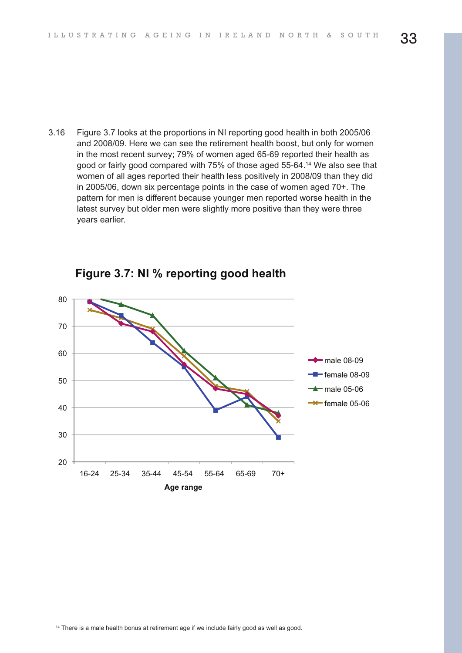3.16 Figure 3.7 looks at the proportions in NI reporting good health in both 2005/06 and 2008/09. Here we can see the retirement health boost, but only for women in the most recent survey; 79% of women aged 65-69 reported their health as good or fairly good compared with 75% of those aged 55-64. <sup>14</sup> We also see that women of all ages reported their health less positively in 2008/09 than they did in 2005/06, down six percentage points in the case of women aged 70+. The pattern for men is different because younger men reported worse health in the latest survey but older men were slightly more positive than they were three years earlier.



**F gure 3 7 N % report ng good hea th**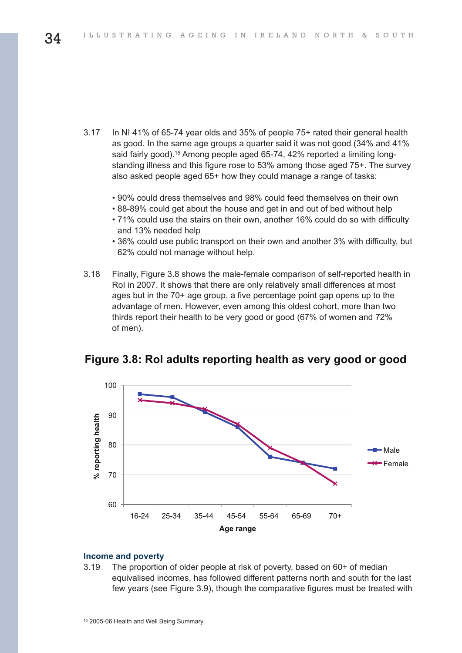- 3.17 In NI 41% of 65-74 year olds and 35% of people 75+ rated their general health as good. In the same age groups a quarter said it was not good (34% and 41% said fairly good). <sup>15</sup> Among people aged 65-74, 42% reported a limiting longstanding illness and this figure rose to 53% among those aged 75+. The survey also asked people aged 65+ how they could manage a range of tasks:
	- 90% could dress themselves and 98% could feed themselves on their own
	- 88-89% could get about the house and get in and out of bed without help
	- 71% could use the stairs on their own, another 16% could do so with difficulty and 13% needed help
	- 36% could use public transport on their own and another 3% with difficulty, but 62% could not manage without help.
- 3.18 Finally, Figure 3.8 shows the male-female comparison of self-reported health in RoI in 2007. It shows that there are only relatively small differences at most ages but in the 70+ age group, a five percentage point gap opens up to the advantage of men. However, even among this oldest cohort, more than two thirds report their health to be very good or good (67% of women and 72% of men).



#### **F gure 3 8 Ro adu ts report ng hea th as very good or good**

#### **Income and poverty**

3.19 The proportion of older people at risk of poverty, based on 60+ of median equivalised incomes, has followed different patterns north and south for the last few years (see Figure 3.9), though the comparative figures must be treated with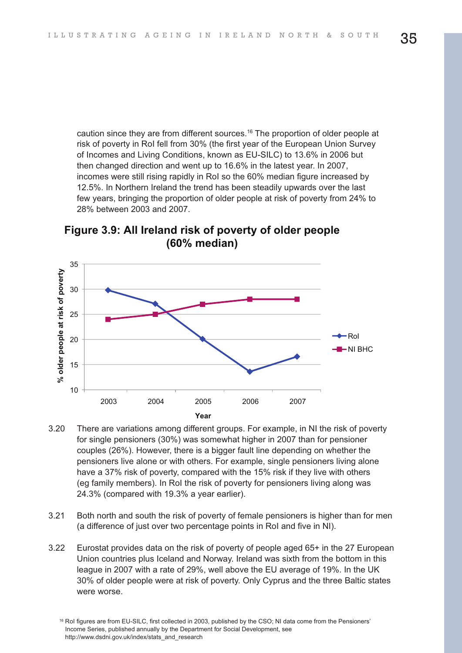caution since they are from different sources. <sup>16</sup> The proportion of older people at risk of poverty in RoI fell from 30% (the first year of the European Union Survey of Incomes and Living Conditions, known as EU-SILC) to 13.6% in 2006 but then changed direction and went up to 16.6% in the latest year. In 2007, incomes were still rising rapidly in RoI so the 60% median figure increased by 12.5%. In Northern Ireland the trend has been steadily upwards over the last few years, bringing the proportion of older people at risk of poverty from 24% to 28% between 2003 and 2007.

**Figure** 3.9: All Ireland risk of poverty of older people **60% med an**



- 3.20 There are variations among different groups. For example, in NI the risk of poverty for single pensioners (30%) was somewhat higher in 2007 than for pensioner couples (26%). However, there is a bigger fault line depending on whether the pensioners live alone or with others. For example, single pensioners living alone have a 37% risk of poverty, compared with the 15% risk if they live with others (eg family members). In RoI the risk of poverty for pensioners living along was 24.3% (compared with 19.3% a year earlier).
- 3.21 Both north and south the risk of poverty of female pensioners is higher than for men (a difference of just over two percentage points in RoI and five in NI).
- 3.22 Eurostat provides data on the risk of poverty of people aged 65+ in the 27 European Union countries plus Iceland and Norway. Ireland was sixth from the bottom in this league in 2007 with a rate of 29%, well above the EU average of 19%. In the UK 30% of older people were at risk of poverty. Only Cyprus and the three Baltic states were worse.

<sup>16</sup> RoI figures are from EU-SILC, first collected in 2003, published by the CSO; NI data come from the Pensioners' Income Series, published annually by the Department for Social Development, see http://www.dsdni.gov.uk/index/stats\_and\_research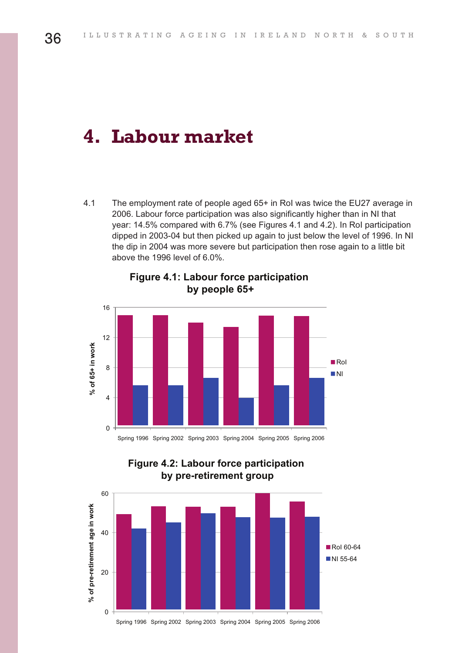## **4. Labour market**

4.1 The employment rate of people aged 65+ in RoI was twice the EU27 average in 2006. Labour force participation was also significantly higher than in NI that year: 14.5% compared with 6.7% (see Figures 4.1 and 4.2). In RoI participation dipped in 2003-04 but then picked up again to just below the level of 1996. In NI the dip in 2004 was more severe but participation then rose again to a little bit above the 1996 level of 6.0%.



**Figure 4.1: Labour force participation by peop e 65+**



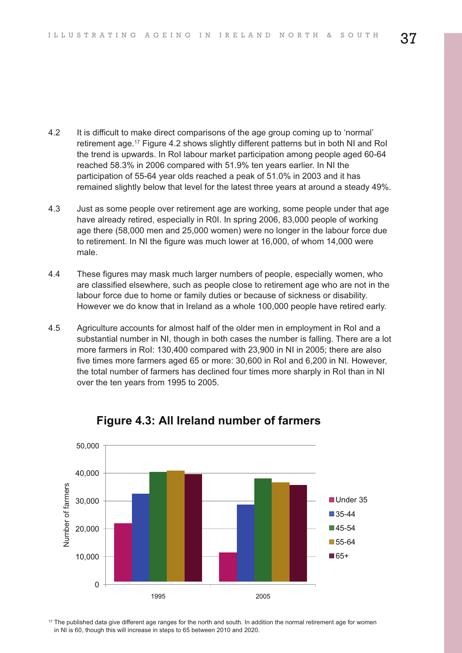- 4.2 It is difficult to make direct comparisons of the age group coming up to 'normal' retirement age. <sup>17</sup> Figure 4.2 shows slightly different patterns but in both NI and RoI the trend is upwards. In RoI labour market participation among people aged 60-64 reached 58.3% in 2006 compared with 51.9% ten years earlier. In NI the participation of 55-64 year olds reached a peak of 51.0% in 2003 and it has remained slightly below that level for the latest three years at around a steady 49%.
- 4.3 Just as some people over retirement age are working, some people under that age have already retired, especially in R0I. In spring 2006, 83,000 people of working age there (58,000 men and 25,000 women) were no longer in the labour force due to retirement. In NI the figure was much lower at 16,000, of whom 14,000 were male.
- 4.4 These figures may mask much larger numbers of people, especially women, who are classified elsewhere, such as people close to retirement age who are not in the labour force due to home or family duties or because of sickness or disability. However we do know that in Ireland as a whole 100,000 people have retired early.
- 4.5 Agriculture accounts for almost half of the older men in employment in RoI and a substantial number in NI, though in both cases the number is falling. There are a lot more farmers in RoI: 130,400 compared with 23,900 in NI in 2005; there are also five times more farmers aged 65 or more: 30,600 in RoI and 6,200 in NI. However, the total number of farmers has declined four times more sharply in RoI than in NI over the ten years from 1995 to 2005.



#### **Figure 4.3: All Ireland number of farmers**

<sup>17</sup> The published data give different age ranges for the north and south. In addition the normal retirement age for women in NI is 60, though this will increase in steps to 65 between 2010 and 2020.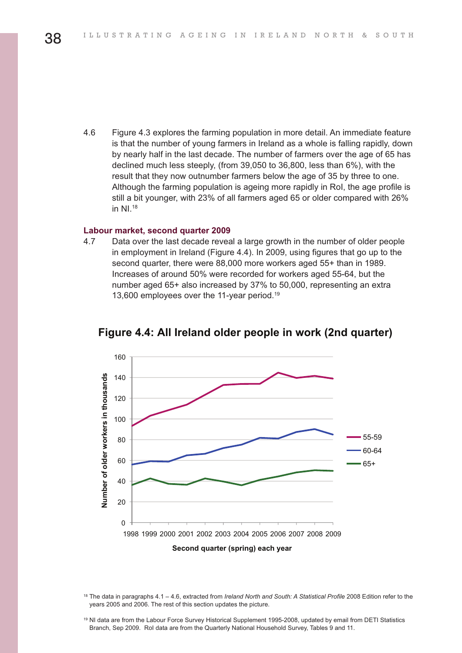4.6 Figure 4.3 explores the farming population in more detail. An immediate feature is that the number of young farmers in Ireland as a whole is falling rapidly, down by nearly half in the last decade. The number of farmers over the age of 65 has declined much less steeply, (from 39,050 to 36,800, less than 6%), with the result that they now outnumber farmers below the age of 35 by three to one. Although the farming population is ageing more rapidly in RoI, the age profile is still a bit younger, with 23% of all farmers aged 65 or older compared with 26% in  $Nl$ .<sup>18</sup>

#### **Labour market, second quarter 2009**

4.7 Data over the last decade reveal a large growth in the number of older people in employment in Ireland (Figure 4.4). In 2009, using figures that go up to the second quarter, there were 88,000 more workers aged 55+ than in 1989. Increases of around 50% were recorded for workers aged 55-64, but the number aged 65+ also increased by 37% to 50,000, representing an extra 13,600 employees over the 11-year period. 19



**Figure 4.4: All Ireland older people in work (2nd quarter)** 

<sup>18</sup> The data in paragraphs 4.1 – 4.6, extracted from *Ireland North and South: A Statistical Profile* 2008 Edition refer to the years 2005 and 2006. The rest of this section updates the picture.

<sup>19</sup> NI data are from the Labour Force Survey Historical Supplement 1995-2008, updated by email from DETI Statistics Branch, Sep 2009. RoI data are from the Quarterly National Household Survey, Tables 9 and 11.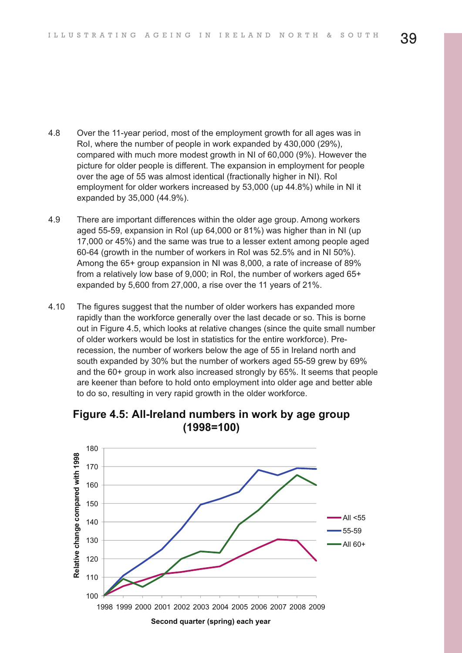- 4.8 Over the 11-year period, most of the employment growth for all ages was in RoI, where the number of people in work expanded by 430,000 (29%), compared with much more modest growth in NI of 60,000 (9%). However the picture for older people is different. The expansion in employment for people over the age of 55 was almost identical (fractionally higher in NI). RoI employment for older workers increased by 53,000 (up 44.8%) while in NI it expanded by 35,000 (44.9%).
- 4.9 There are important differences within the older age group. Among workers aged 55-59, expansion in RoI (up 64,000 or 81%) was higher than in NI (up 17,000 or 45%) and the same was true to a lesser extent among people aged 60-64 (growth in the number of workers in RoI was 52.5% and in NI 50%). Among the 65+ group expansion in NI was 8,000, a rate of increase of 89% from a relatively low base of 9,000; in RoI, the number of workers aged 65+ expanded by 5,600 from 27,000, a rise over the 11 years of 21%.
- 4.10 The figures suggest that the number of older workers has expanded more rapidly than the workforce generally over the last decade or so. This is borne out in Figure 4.5, which looks at relative changes (since the quite small number of older workers would be lost in statistics for the entire workforce). Prerecession, the number of workers below the age of 55 in Ireland north and south expanded by 30% but the number of workers aged 55-59 grew by 69% and the 60+ group in work also increased strongly by 65%. It seems that people are keener than before to hold onto employment into older age and better able to do so, resulting in very rapid growth in the older workforce.



**F gure 4 5 A - re and numbers n work by age group 1998=100**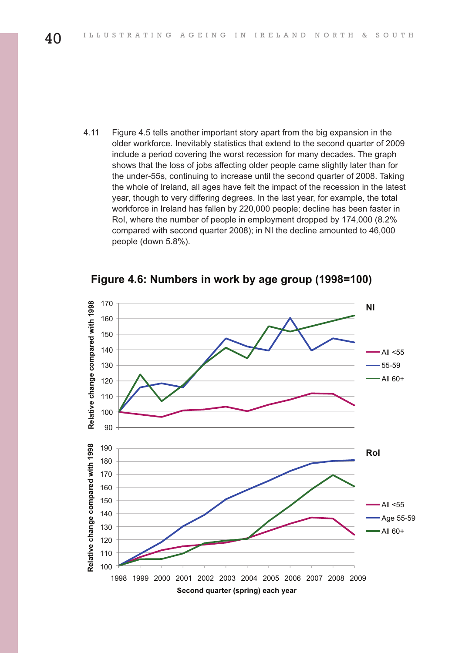4.11 Figure 4.5 tells another important story apart from the big expansion in the older workforce. Inevitably statistics that extend to the second quarter of 2009 include a period covering the worst recession for many decades. The graph shows that the loss of jobs affecting older people came slightly later than for the under-55s, continuing to increase until the second quarter of 2008. Taking the whole of Ireland, all ages have felt the impact of the recession in the latest year, though to very differing degrees. In the last year, for example, the total workforce in Ireland has fallen by 220,000 people; decline has been faster in RoI, where the number of people in employment dropped by 174,000 (8.2% compared with second quarter 2008); in NI the decline amounted to 46,000 people (down 5.8%).

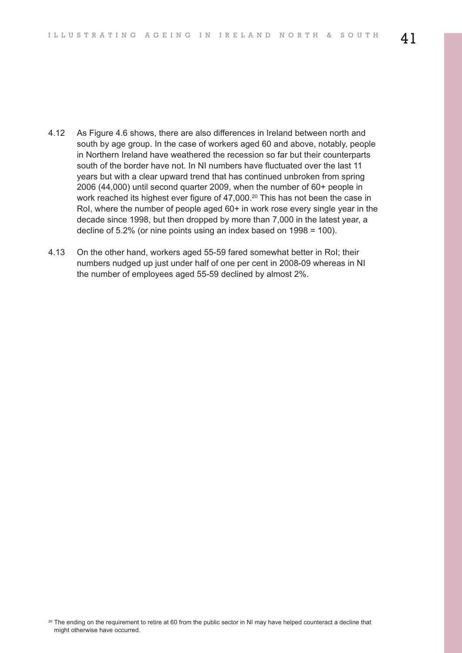- 4.12 As Figure 4.6 shows, there are also differences in Ireland between north and south by age group. In the case of workers aged 60 and above, notably, people in Northern Ireland have weathered the recession so far but their counterparts south of the border have not. In NI numbers have fluctuated over the last 11 years but with a clear upward trend that has continued unbroken from spring 2006 (44,000) until second quarter 2009, when the number of 60+ people in work reached its highest ever figure of 47,000. <sup>20</sup> This has not been the case in RoI, where the number of people aged 60+ in work rose every single year in the decade since 1998, but then dropped by more than 7,000 in the latest year, a decline of 5.2% (or nine points using an index based on 1998 = 100).
- 4.13 On the other hand, workers aged 55-59 fared somewhat better in RoI; their numbers nudged up just under half of one per cent in 2008-09 whereas in NI the number of employees aged 55-59 declined by almost 2%.

<sup>&</sup>lt;sup>20</sup> The ending on the requirement to retire at 60 from the public sector in NI may have helped counteract a decline that might otherwise have occurred.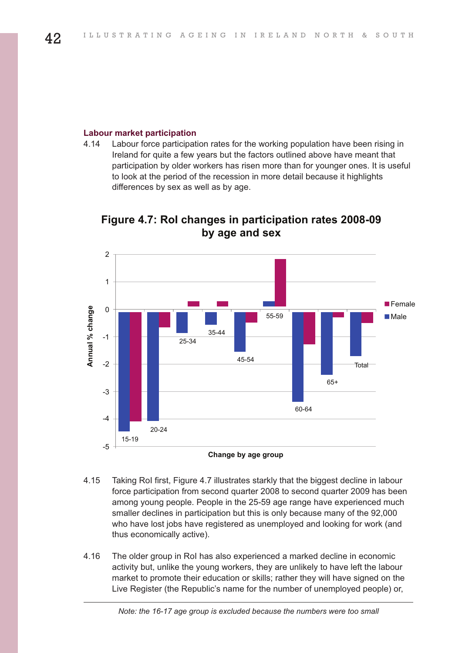#### **Labour market participation**

4.14 Labour force participation rates for the working population have been rising in Ireland for quite a few years but the factors outlined above have meant that participation by older workers has risen more than for younger ones. It is useful to look at the period of the recession in more detail because it highlights differences by sex as well as by age.



**F gure 4 7 Ro changes n part c pat on rates 2008 09 by age and sex**

- 4.15 Taking RoI first, Figure 4.7 illustrates starkly that the biggest decline in labour force participation from second quarter 2008 to second quarter 2009 has been among young people. People in the 25-59 age range have experienced much smaller declines in participation but this is only because many of the 92,000 who have lost jobs have registered as unemployed and looking for work (and thus economically active).
- 4.16 The older group in RoI has also experienced a marked decline in economic activity but, unlike the young workers, they are unlikely to have left the labour market to promote their education or skills; rather they will have signed on the Live Register (the Republic's name for the number of unemployed people) or,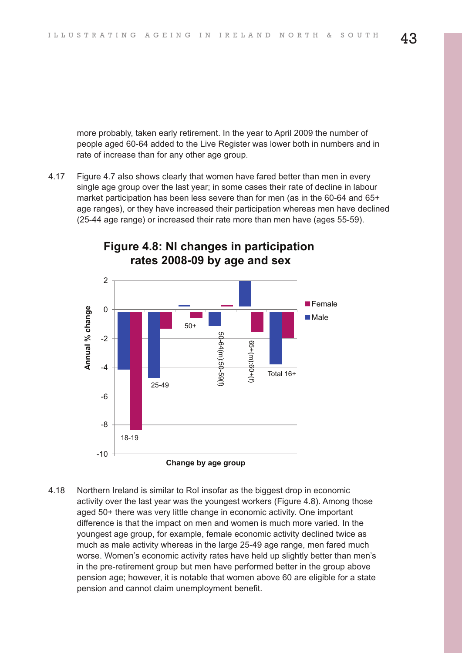more probably, taken early retirement. In the year to April 2009 the number of people aged 60-64 added to the Live Register was lower both in numbers and in rate of increase than for any other age group.

4.17 Figure 4.7 also shows clearly that women have fared better than men in every single age group over the last year; in some cases their rate of decline in labour market participation has been less severe than for men (as in the 60-64 and 65+ age ranges), or they have increased their participation whereas men have declined (25-44 age range) or increased their rate more than men have (ages 55-59).



#### **Figure 4.8: NI changes in participation rates 2008-09 by age and sex**

4.18 Northern Ireland is similar to RoI insofar as the biggest drop in economic activity over the last year was the youngest workers (Figure 4.8). Among those aged 50+ there was very little change in economic activity. One important difference is that the impact on men and women is much more varied. In the youngest age group, for example, female economic activity declined twice as much as male activity whereas in the large 25-49 age range, men fared much worse. Women's economic activity rates have held up slightly better than men's in the pre-retirement group but men have performed better in the group above pension age; however, it is notable that women above 60 are eligible for a state pension and cannot claim unemployment benefit.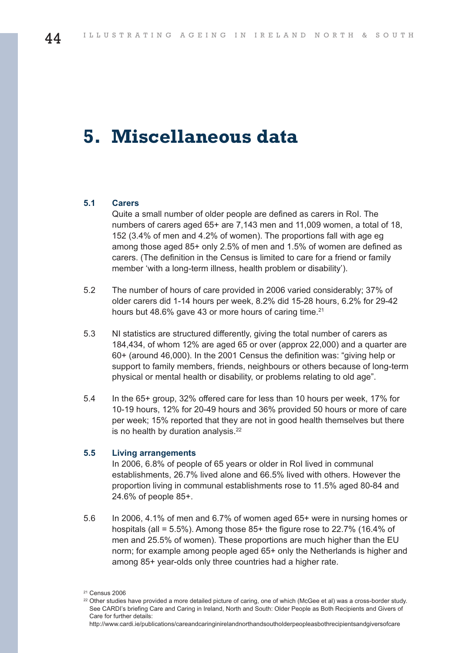## **5. Miscellaneous data**

#### **5.1 Carers**

Quite a small number of older people are defined as carers in RoI. The numbers of carers aged 65+ are 7,143 men and 11,009 women, a total of 18, 152 (3.4% of men and 4.2% of women). The proportions fall with age eg among those aged 85+ only 2.5% of men and 1.5% of women are defined as carers. (The definition in the Census is limited to care for a friend or family member 'with a long-term illness, health problem or disability').

- 5.2 The number of hours of care provided in 2006 varied considerably; 37% of older carers did 1-14 hours per week, 8.2% did 15-28 hours, 6.2% for 29-42 hours but 48.6% gave 43 or more hours of caring time.<sup>21</sup>
- 5.3 NI statistics are structured differently, giving the total number of carers as 184,434, of whom 12% are aged 65 or over (approx 22,000) and a quarter are 60+ (around 46,000). In the 2001 Census the definition was: "giving help or support to family members, friends, neighbours or others because of long-term physical or mental health or disability, or problems relating to old age".
- 5.4 In the 65+ group, 32% offered care for less than 10 hours per week, 17% for 10-19 hours, 12% for 20-49 hours and 36% provided 50 hours or more of care per week; 15% reported that they are not in good health themselves but there is no health by duration analysis.<sup>22</sup>

#### **5.5 Living arrangements**

In 2006, 6.8% of people of 65 years or older in RoI lived in communal establishments, 26.7% lived alone and 66.5% lived with others. However the proportion living in communal establishments rose to 11.5% aged 80-84 and 24.6% of people 85+.

5.6 In 2006, 4.1% of men and 6.7% of women aged 65+ were in nursing homes or hospitals (all = 5.5%). Among those 85+ the figure rose to 22.7% (16.4% of men and 25.5% of women). These proportions are much higher than the EU norm; for example among people aged 65+ only the Netherlands is higher and among 85+ year-olds only three countries had a higher rate.

<sup>21</sup> Census 2006

<sup>&</sup>lt;sup>22</sup> Other studies have provided a more detailed picture of caring, one of which (McGee et al) was a cross-border study. See CARDI's briefing Care and Caring in Ireland, North and South: Older People as Both Recipients and Givers of Care for further details: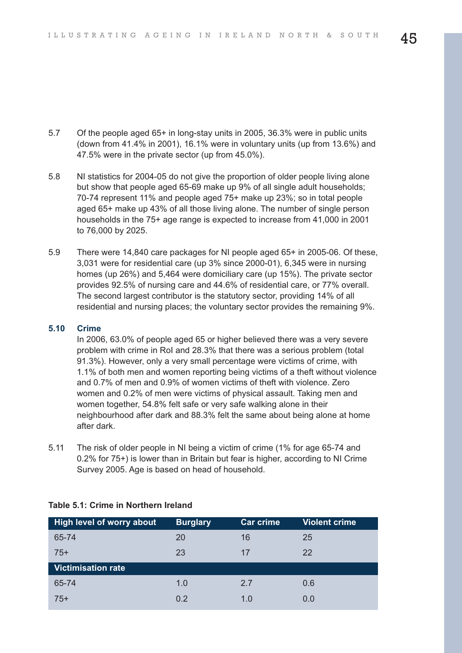- 5.7 Of the people aged 65+ in long-stay units in 2005, 36.3% were in public units (down from 41.4% in 2001), 16.1% were in voluntary units (up from 13.6%) and 47.5% were in the private sector (up from 45.0%).
- 5.8 NI statistics for 2004-05 do not give the proportion of older people living alone but show that people aged 65-69 make up 9% of all single adult households; 70-74 represent 11% and people aged 75+ make up 23%; so in total people aged 65+ make up 43% of all those living alone. The number of single person households in the 75+ age range is expected to increase from 41,000 in 2001 to 76,000 by 2025.
- 5.9 There were 14,840 care packages for NI people aged 65+ in 2005-06. Of these, 3,031 were for residential care (up 3% since 2000-01), 6,345 were in nursing homes (up 26%) and 5,464 were domiciliary care (up 15%). The private sector provides 92.5% of nursing care and 44.6% of residential care, or 77% overall. The second largest contributor is the statutory sector, providing 14% of all residential and nursing places; the voluntary sector provides the remaining 9%.

#### **5.10 Crime**

In 2006, 63.0% of people aged 65 or higher believed there was a very severe problem with crime in RoI and 28.3% that there was a serious problem (total 91.3%). However, only a very small percentage were victims of crime, with 1.1% of both men and women reporting being victims of a theft without violence and 0.7% of men and 0.9% of women victims of theft with violence. Zero women and 0.2% of men were victims of physical assault. Taking men and women together, 54.8% felt safe or very safe walking alone in their neighbourhood after dark and 88.3% felt the same about being alone at home after dark.

5.11 The risk of older people in NI being a victim of crime (1% for age 65-74 and 0.2% for 75+) is lower than in Britain but fear is higher, according to NI Crime Survey 2005. Age is based on head of household.

| <b>High level of worry about</b> | <b>Burglary</b> | <b>Car crime</b> | <b>Violent crime</b> |
|----------------------------------|-----------------|------------------|----------------------|
| 65-74                            | 20              | 16               | 25                   |
| $75+$                            | 23              | 17               | 22                   |
| <b>Victimisation rate</b>        |                 |                  |                      |
| 65-74                            | 1.0             | 2.7              | 0.6                  |
| $75+$                            | 0.2             | 1.0              | 0.0                  |

#### **Table 5.1: Crime in Northern Ireland**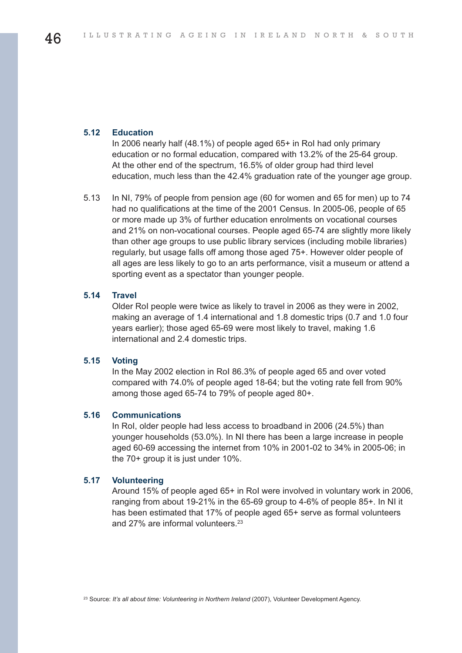#### **5.12 Education**

In 2006 nearly half (48.1%) of people aged 65+ in RoI had only primary education or no formal education, compared with 13.2% of the 25-64 group. At the other end of the spectrum, 16.5% of older group had third level education, much less than the 42.4% graduation rate of the younger age group.

5.13 In NI, 79% of people from pension age (60 for women and 65 for men) up to 74 had no qualifications at the time of the 2001 Census. In 2005-06, people of 65 or more made up 3% of further education enrolments on vocational courses and 21% on non-vocational courses. People aged 65-74 are slightly more likely than other age groups to use public library services (including mobile libraries) regularly, but usage falls off among those aged 75+. However older people of all ages are less likely to go to an arts performance, visit a museum or attend a sporting event as a spectator than younger people.

#### **5.14 Travel**

Older RoI people were twice as likely to travel in 2006 as they were in 2002, making an average of 1.4 international and 1.8 domestic trips (0.7 and 1.0 four years earlier); those aged 65-69 were most likely to travel, making 1.6 international and 2.4 domestic trips.

#### **5.15 Voting**

In the May 2002 election in RoI 86.3% of people aged 65 and over voted compared with 74.0% of people aged 18-64; but the voting rate fell from 90% among those aged 65-74 to 79% of people aged 80+.

#### **5.16 Communications**

In RoI, older people had less access to broadband in 2006 (24.5%) than younger households (53.0%). In NI there has been a large increase in people aged 60-69 accessing the internet from 10% in 2001-02 to 34% in 2005-06; in the 70+ group it is just under 10%.

#### **5.17 Volunteering**

Around 15% of people aged 65+ in RoI were involved in voluntary work in 2006, ranging from about 19-21% in the 65-69 group to 4-6% of people 85+. In NI it has been estimated that 17% of people aged 65+ serve as formal volunteers and 27% are informal volunteers. 23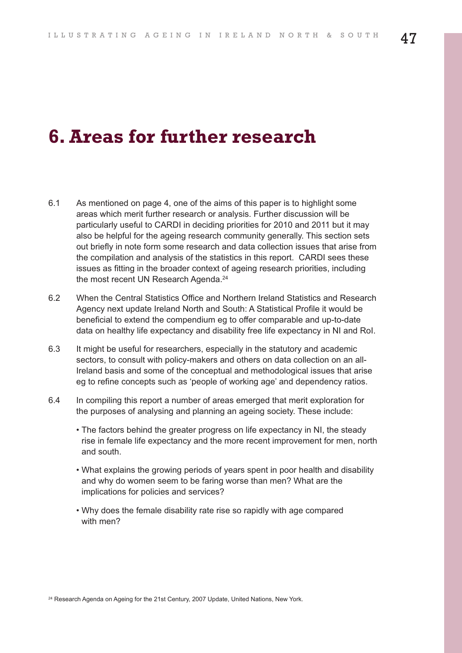## **6.Areas for further research**

- 6.1 As mentioned on page 4, one of the aims of this paper is to highlight some areas which merit further research or analysis. Further discussion will be particularly useful to CARDI in deciding priorities for 2010 and 2011 but it may also be helpful for the ageing research community generally. This section sets out briefly in note form some research and data collection issues that arise from the compilation and analysis of the statistics in this report. CARDI sees these issues as fitting in the broader context of ageing research priorities, including the most recent UN Research Agenda. 24
- 6.2 When the Central Statistics Office and Northern Ireland Statistics and Research Agency next update Ireland North and South: A Statistical Profile it would be beneficial to extend the compendium eg to offer comparable and up-to-date data on healthy life expectancy and disability free life expectancy in NI and RoI.
- 6.3 It might be useful for researchers, especially in the statutory and academic sectors, to consult with policy-makers and others on data collection on an all-Ireland basis and some of the conceptual and methodological issues that arise eg to refine concepts such as 'people of working age' and dependency ratios.
- 6.4 In compiling this report a number of areas emerged that merit exploration for the purposes of analysing and planning an ageing society. These include:
	- The factors behind the greater progress on life expectancy in NI, the steady rise in female life expectancy and the more recent improvement for men, north and south.
	- What explains the growing periods of years spent in poor health and disability and why do women seem to be faring worse than men? What are the implications for policies and services?
	- Why does the female disability rate rise so rapidly with age compared with men?

<sup>24</sup> Research Agenda on Ageing for the 21st Century, 2007 Update, United Nations, New York.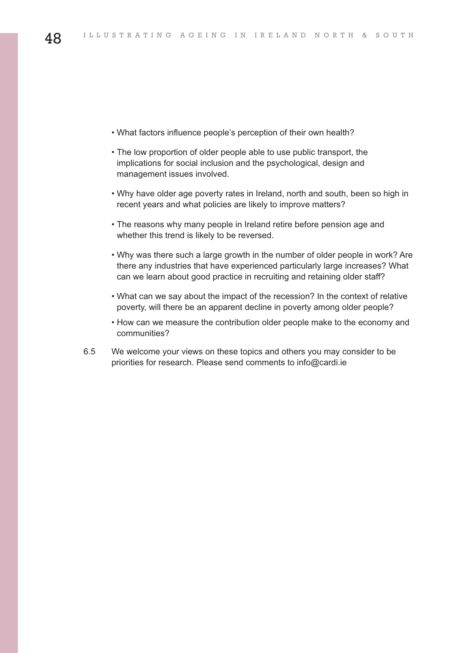- What factors influence people's perception of their own health?
- The low proportion of older people able to use public transport, the implications for social inclusion and the psychological, design and management issues involved.
- Why have older age poverty rates in Ireland, north and south, been so high in recent years and what policies are likely to improve matters?
- The reasons why many people in Ireland retire before pension age and whether this trend is likely to be reversed.
- Why was there such a large growth in the number of older people in work? Are there any industries that have experienced particularly large increases? What can we learn about good practice in recruiting and retaining older staff?
- What can we say about the impact of the recession? In the context of relative poverty, will there be an apparent decline in poverty among older people?
- How can we measure the contribution older people make to the economy and communities?
- 6.5 We welcome your views on these topics and others you may consider to be priorities for research. Please send comments to info@cardi.ie